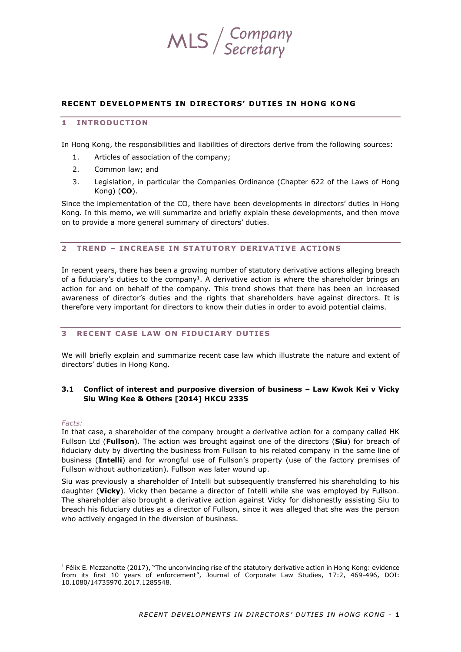

#### **RECENT DEVELOPMENTS IN DIRECTORS ' DUT IES IN HONG KONG**

# **1 INTRODUCTION**

In Hong Kong, the responsibilities and liabilities of directors derive from the following sources:

- 1. Articles of association of the company;
- 2. Common law; and
- 3. Legislation, in particular the Companies Ordinance (Chapter 622 of the Laws of Hong Kong) (**CO**).

Since the implementation of the CO, there have been developments in directors' duties in Hong Kong. In this memo, we will summarize and briefly explain these developments, and then move on to provide a more general summary of directors' duties.

#### **2 TREND – IN CREASE IN STATUTOR Y DER IVATIVE ACTION S**

In recent years, there has been a growing number of statutory derivative actions alleging breach of a fiduciary's duties to the company<sup>1</sup>. A derivative action is where the shareholder brings an action for and on behalf of the company. This trend shows that there has been an increased awareness of director's duties and the rights that shareholders have against directors. It is therefore very important for directors to know their duties in order to avoid potential claims.

#### **3** RECENT CASE LAW ON FIDUCIARY DUTIES

We will briefly explain and summarize recent case law which illustrate the nature and extent of directors' duties in Hong Kong.

# **3.1 Conflict of interest and purposive diversion of business – Law Kwok Kei v Vicky Siu Wing Kee & Others [2014] HKCU 2335**

#### *Facts:*

In that case, a shareholder of the company brought a derivative action for a company called HK Fullson Ltd (**Fullson**). The action was brought against one of the directors (**Siu**) for breach of fiduciary duty by diverting the business from Fullson to his related company in the same line of business (**Intelli**) and for wrongful use of Fullson's property (use of the factory premises of Fullson without authorization). Fullson was later wound up.

Siu was previously a shareholder of Intelli but subsequently transferred his shareholding to his daughter (**Vicky**). Vicky then became a director of Intelli while she was employed by Fullson. The shareholder also brought a derivative action against Vicky for dishonestly assisting Siu to breach his fiduciary duties as a director of Fullson, since it was alleged that she was the person who actively engaged in the diversion of business.

<sup>&</sup>lt;sup>1</sup> Félix E. Mezzanotte (2017), "The unconvincing rise of the statutory derivative action in Hong Kong: evidence from its first 10 years of enforcement", Journal of Corporate Law Studies, 17:2, 469-496, DOI: 10.1080/14735970.2017.1285548.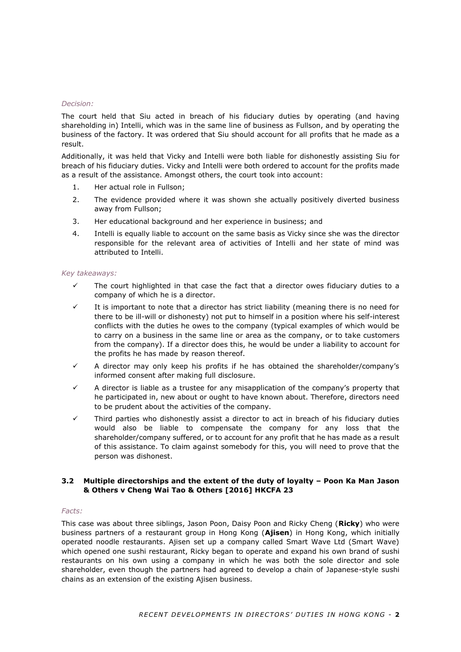#### *Decision:*

The court held that Siu acted in breach of his fiduciary duties by operating (and having shareholding in) Intelli, which was in the same line of business as Fullson, and by operating the business of the factory. It was ordered that Siu should account for all profits that he made as a result.

Additionally, it was held that Vicky and Intelli were both liable for dishonestly assisting Siu for breach of his fiduciary duties. Vicky and Intelli were both ordered to account for the profits made as a result of the assistance. Amongst others, the court took into account:

- 1. Her actual role in Fullson;
- 2. The evidence provided where it was shown she actually positively diverted business away from Fullson;
- 3. Her educational background and her experience in business; and
- 4. Intelli is equally liable to account on the same basis as Vicky since she was the director responsible for the relevant area of activities of Intelli and her state of mind was attributed to Intelli.

#### *Key takeaways:*

- The court highlighted in that case the fact that a director owes fiduciary duties to a company of which he is a director.
- It is important to note that a director has strict liability (meaning there is no need for there to be ill-will or dishonesty) not put to himself in a position where his self-interest conflicts with the duties he owes to the company (typical examples of which would be to carry on a business in the same line or area as the company, or to take customers from the company). If a director does this, he would be under a liability to account for the profits he has made by reason thereof.
- ✓ A director may only keep his profits if he has obtained the shareholder/company's informed consent after making full disclosure.
- $\checkmark$  A director is liable as a trustee for any misapplication of the company's property that he participated in, new about or ought to have known about. Therefore, directors need to be prudent about the activities of the company.
- ✓ Third parties who dishonestly assist a director to act in breach of his fiduciary duties would also be liable to compensate the company for any loss that the shareholder/company suffered, or to account for any profit that he has made as a result of this assistance. To claim against somebody for this, you will need to prove that the person was dishonest.

# **3.2 Multiple directorships and the extent of the duty of loyalty – Poon Ka Man Jason & Others v Cheng Wai Tao & Others [2016] HKCFA 23**

## *Facts:*

This case was about three siblings, Jason Poon, Daisy Poon and Ricky Cheng (**Ricky**) who were business partners of a restaurant group in Hong Kong (**Ajisen**) in Hong Kong, which initially operated noodle restaurants. Ajisen set up a company called Smart Wave Ltd (Smart Wave) which opened one sushi restaurant, Ricky began to operate and expand his own brand of sushi restaurants on his own using a company in which he was both the sole director and sole shareholder, even though the partners had agreed to develop a chain of Japanese-style sushi chains as an extension of the existing Ajisen business.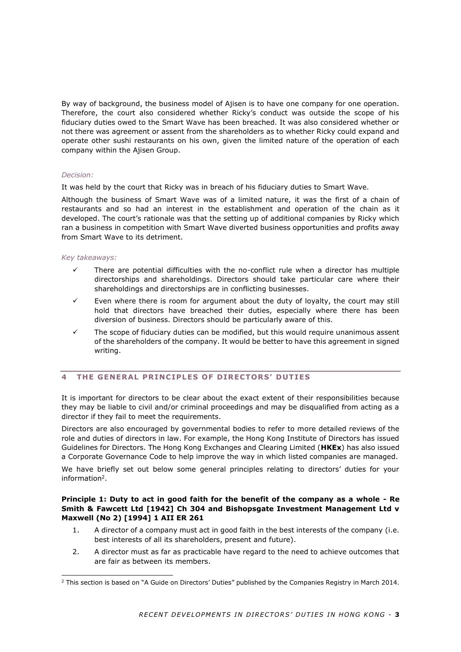By way of background, the business model of Ajisen is to have one company for one operation. Therefore, the court also considered whether Ricky's conduct was outside the scope of his fiduciary duties owed to the Smart Wave has been breached. It was also considered whether or not there was agreement or assent from the shareholders as to whether Ricky could expand and operate other sushi restaurants on his own, given the limited nature of the operation of each company within the Ajisen Group.

## *Decision:*

It was held by the court that Ricky was in breach of his fiduciary duties to Smart Wave.

Although the business of Smart Wave was of a limited nature, it was the first of a chain of restaurants and so had an interest in the establishment and operation of the chain as it developed. The court's rationale was that the setting up of additional companies by Ricky which ran a business in competition with Smart Wave diverted business opportunities and profits away from Smart Wave to its detriment.

#### *Key takeaways:*

- There are potential difficulties with the no-conflict rule when a director has multiple directorships and shareholdings. Directors should take particular care where their shareholdings and directorships are in conflicting businesses.
- $\checkmark$  Even where there is room for argument about the duty of loyalty, the court may still hold that directors have breached their duties, especially where there has been diversion of business. Directors should be particularly aware of this.
- $\checkmark$  The scope of fiduciary duties can be modified, but this would require unanimous assent of the shareholders of the company. It would be better to have this agreement in signed writing.

# **4 THE GENERAL PR INC IPLES OF DIRECTOR S ' DUTIES**

It is important for directors to be clear about the exact extent of their responsibilities because they may be liable to civil and/or criminal proceedings and may be disqualified from acting as a director if they fail to meet the requirements.

Directors are also encouraged by governmental bodies to refer to more detailed reviews of the role and duties of directors in law. For example, the Hong Kong Institute of Directors has issued Guidelines for Directors. The Hong Kong Exchanges and Clearing Limited (**HKEx**) has also issued a Corporate Governance Code to help improve the way in which listed companies are managed.

We have briefly set out below some general principles relating to directors' duties for your information<sup>2</sup>.

## **Principle 1: Duty to act in good faith for the benefit of the company as a whole - Re Smith & Fawcett Ltd [1942] Ch 304 and Bishopsgate Investment Management Ltd v Maxwell (No 2) [1994] 1 AII ER 261**

- 1. A director of a company must act in good faith in the best interests of the company (i.e. best interests of all its shareholders, present and future).
- 2. A director must as far as practicable have regard to the need to achieve outcomes that are fair as between its members.

 $2$  This section is based on "A Guide on Directors' Duties" published by the Companies Registry in March 2014.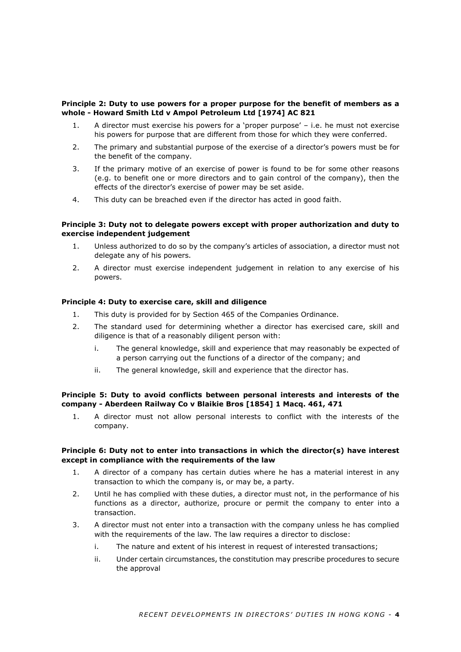## **Principle 2: Duty to use powers for a proper purpose for the benefit of members as a whole - Howard Smith Ltd v Ampol Petroleum Ltd [1974] AC 821**

- 1. A director must exercise his powers for a 'proper purpose' i.e. he must not exercise his powers for purpose that are different from those for which they were conferred.
- 2. The primary and substantial purpose of the exercise of a director's powers must be for the benefit of the company.
- 3. If the primary motive of an exercise of power is found to be for some other reasons (e.g. to benefit one or more directors and to gain control of the company), then the effects of the director's exercise of power may be set aside.
- 4. This duty can be breached even if the director has acted in good faith.

## **Principle 3: Duty not to delegate powers except with proper authorization and duty to exercise independent judgement**

- 1. Unless authorized to do so by the company's articles of association, a director must not delegate any of his powers.
- 2. A director must exercise independent judgement in relation to any exercise of his powers.

## **Principle 4: Duty to exercise care, skill and diligence**

- 1. This duty is provided for by Section 465 of the Companies Ordinance.
- 2. The standard used for determining whether a director has exercised care, skill and diligence is that of a reasonably diligent person with:
	- i. The general knowledge, skill and experience that may reasonably be expected of a person carrying out the functions of a director of the company; and
	- ii. The general knowledge, skill and experience that the director has.

## **Principle 5: Duty to avoid conflicts between personal interests and interests of the company - Aberdeen Railway Co v Blaikie Bros [1854] 1 Macq. 461, 471**

1. A director must not allow personal interests to conflict with the interests of the company.

## **Principle 6: Duty not to enter into transactions in which the director(s) have interest except in compliance with the requirements of the law**

- 1. A director of a company has certain duties where he has a material interest in any transaction to which the company is, or may be, a party.
- 2. Until he has complied with these duties, a director must not, in the performance of his functions as a director, authorize, procure or permit the company to enter into a transaction.
- 3. A director must not enter into a transaction with the company unless he has complied with the requirements of the law. The law requires a director to disclose:
	- i. The nature and extent of his interest in request of interested transactions;
	- ii. Under certain circumstances, the constitution may prescribe procedures to secure the approval